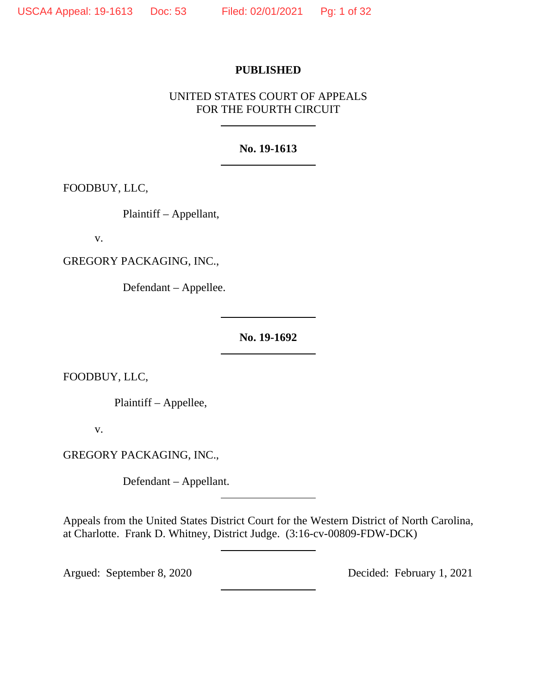### **PUBLISHED**

# UNITED STATES COURT OF APPEALS FOR THE FOURTH CIRCUIT

## **No. 19-1613**

FOODBUY, LLC,

Plaintiff – Appellant,

v.

GREGORY PACKAGING, INC.,

Defendant – Appellee.

**No. 19-1692**

FOODBUY, LLC,

Plaintiff – Appellee,

v.

GREGORY PACKAGING, INC.,

Defendant – Appellant.

Appeals from the United States District Court for the Western District of North Carolina, at Charlotte. Frank D. Whitney, District Judge. (3:16-cv-00809-FDW-DCK)

Argued: September 8, 2020 Decided: February 1, 2021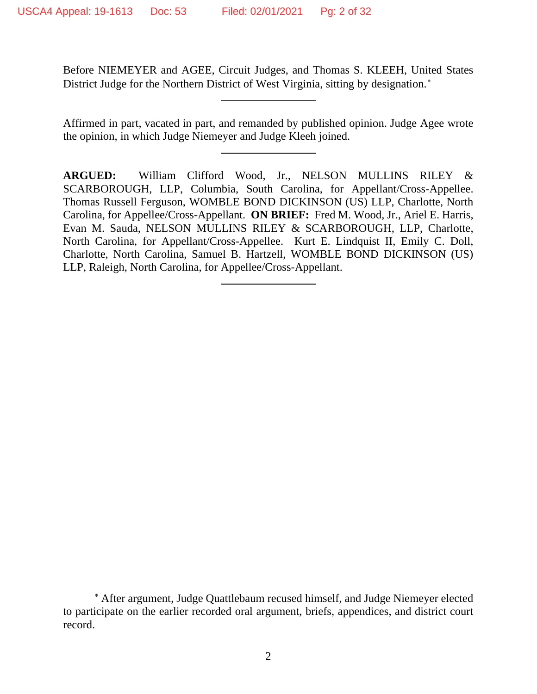Before NIEMEYER and AGEE, Circuit Judges, and Thomas S. KLEEH, United States District Judge for the Northern District of West Virginia, sitting by designation.[∗](#page-1-0)

Affirmed in part, vacated in part, and remanded by published opinion. Judge Agee wrote the opinion, in which Judge Niemeyer and Judge Kleeh joined.

**ARGUED:** William Clifford Wood, Jr., NELSON MULLINS RILEY & SCARBOROUGH, LLP, Columbia, South Carolina, for Appellant/Cross-Appellee. Thomas Russell Ferguson, WOMBLE BOND DICKINSON (US) LLP, Charlotte, North Carolina, for Appellee/Cross-Appellant. **ON BRIEF:** Fred M. Wood, Jr., Ariel E. Harris, Evan M. Sauda, NELSON MULLINS RILEY & SCARBOROUGH, LLP, Charlotte, North Carolina, for Appellant/Cross-Appellee. Kurt E. Lindquist II, Emily C. Doll, Charlotte, North Carolina, Samuel B. Hartzell, WOMBLE BOND DICKINSON (US) LLP, Raleigh, North Carolina, for Appellee/Cross-Appellant.

<span id="page-1-0"></span><sup>∗</sup> After argument, Judge Quattlebaum recused himself, and Judge Niemeyer elected to participate on the earlier recorded oral argument, briefs, appendices, and district court record.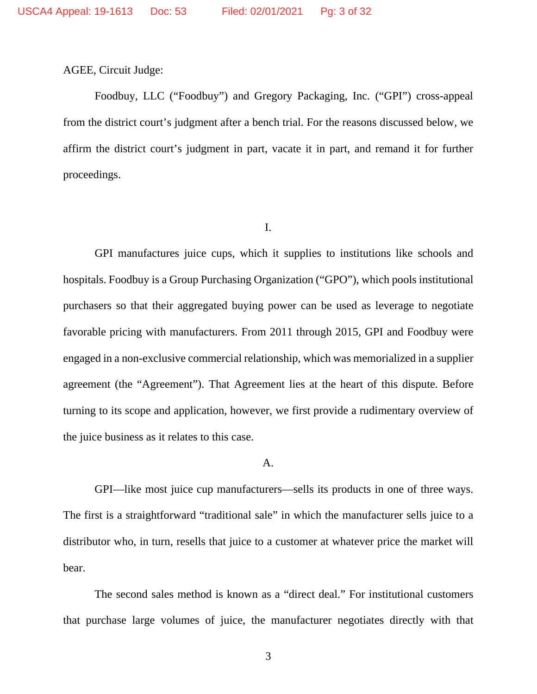AGEE, Circuit Judge:

Foodbuy, LLC ("Foodbuy") and Gregory Packaging, Inc. ("GPI") cross-appeal from the district court's judgment after a bench trial. For the reasons discussed below, we affirm the district court's judgment in part, vacate it in part, and remand it for further proceedings.

I.

GPI manufactures juice cups, which it supplies to institutions like schools and hospitals. Foodbuy is a Group Purchasing Organization ("GPO"), which pools institutional purchasers so that their aggregated buying power can be used as leverage to negotiate favorable pricing with manufacturers. From 2011 through 2015, GPI and Foodbuy were engaged in a non-exclusive commercial relationship, which was memorialized in a supplier agreement (the "Agreement"). That Agreement lies at the heart of this dispute. Before turning to its scope and application, however, we first provide a rudimentary overview of the juice business as it relates to this case.

#### A.

GPI—like most juice cup manufacturers—sells its products in one of three ways. The first is a straightforward "traditional sale" in which the manufacturer sells juice to a distributor who, in turn, resells that juice to a customer at whatever price the market will bear.

The second sales method is known as a "direct deal." For institutional customers that purchase large volumes of juice, the manufacturer negotiates directly with that

3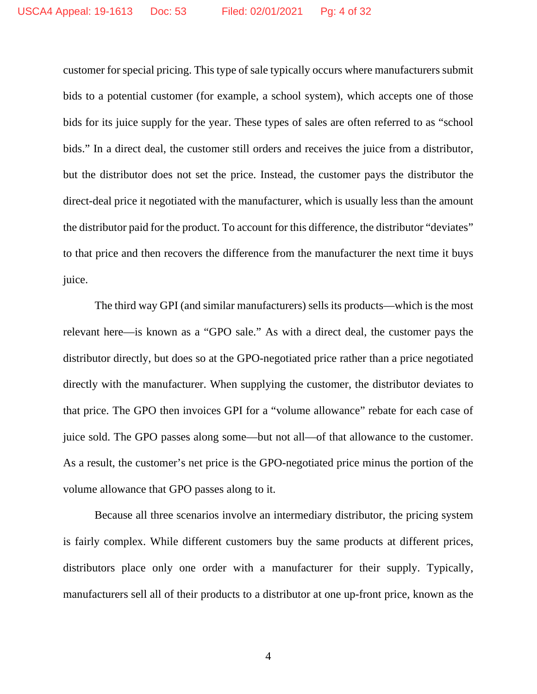customer for special pricing. This type of sale typically occurs where manufacturers submit bids to a potential customer (for example, a school system), which accepts one of those bids for its juice supply for the year. These types of sales are often referred to as "school bids." In a direct deal, the customer still orders and receives the juice from a distributor, but the distributor does not set the price. Instead, the customer pays the distributor the direct-deal price it negotiated with the manufacturer, which is usually less than the amount the distributor paid for the product. To account for this difference, the distributor "deviates" to that price and then recovers the difference from the manufacturer the next time it buys juice.

The third way GPI (and similar manufacturers) sells its products—which is the most relevant here—is known as a "GPO sale." As with a direct deal, the customer pays the distributor directly, but does so at the GPO-negotiated price rather than a price negotiated directly with the manufacturer. When supplying the customer, the distributor deviates to that price. The GPO then invoices GPI for a "volume allowance" rebate for each case of juice sold. The GPO passes along some—but not all—of that allowance to the customer. As a result, the customer's net price is the GPO-negotiated price minus the portion of the volume allowance that GPO passes along to it.

Because all three scenarios involve an intermediary distributor, the pricing system is fairly complex. While different customers buy the same products at different prices, distributors place only one order with a manufacturer for their supply. Typically, manufacturers sell all of their products to a distributor at one up-front price, known as the

4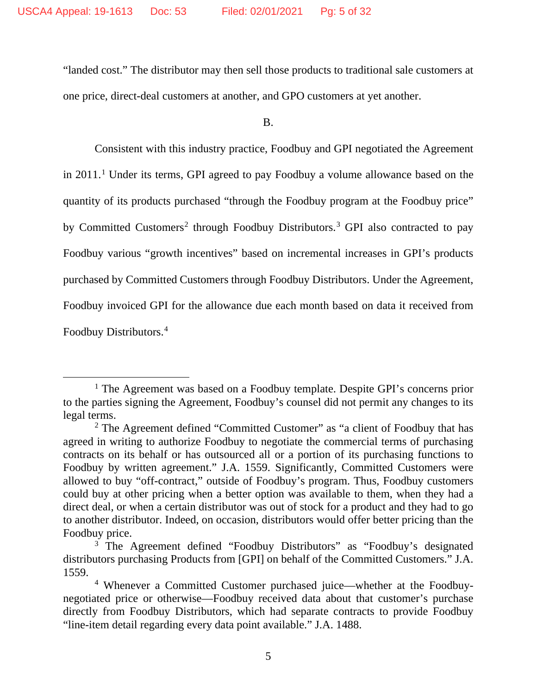"landed cost." The distributor may then sell those products to traditional sale customers at one price, direct-deal customers at another, and GPO customers at yet another.

B.

Consistent with this industry practice, Foodbuy and GPI negotiated the Agreement in 2011. [1](#page-4-0) Under its terms, GPI agreed to pay Foodbuy a volume allowance based on the quantity of its products purchased "through the Foodbuy program at the Foodbuy price" by Committed Customers<sup>[2](#page-4-1)</sup> through Foodbuy Distributors.<sup>[3](#page-4-2)</sup> GPI also contracted to pay Foodbuy various "growth incentives" based on incremental increases in GPI's products purchased by Committed Customers through Foodbuy Distributors. Under the Agreement, Foodbuy invoiced GPI for the allowance due each month based on data it received from Foodbuy Distributors.[4](#page-4-3)

<span id="page-4-0"></span><sup>&</sup>lt;sup>1</sup> The Agreement was based on a Foodbuy template. Despite GPI's concerns prior to the parties signing the Agreement, Foodbuy's counsel did not permit any changes to its legal terms.

<span id="page-4-1"></span><sup>&</sup>lt;sup>2</sup> The Agreement defined "Committed Customer" as "a client of Foodbuy that has agreed in writing to authorize Foodbuy to negotiate the commercial terms of purchasing contracts on its behalf or has outsourced all or a portion of its purchasing functions to Foodbuy by written agreement." J.A. 1559. Significantly, Committed Customers were allowed to buy "off-contract," outside of Foodbuy's program. Thus, Foodbuy customers could buy at other pricing when a better option was available to them, when they had a direct deal, or when a certain distributor was out of stock for a product and they had to go to another distributor. Indeed, on occasion, distributors would offer better pricing than the Foodbuy price.

<span id="page-4-2"></span><sup>&</sup>lt;sup>3</sup> The Agreement defined "Foodbuy Distributors" as "Foodbuy's designated distributors purchasing Products from [GPI] on behalf of the Committed Customers." J.A. 1559.

<span id="page-4-3"></span><sup>4</sup> Whenever a Committed Customer purchased juice—whether at the Foodbuynegotiated price or otherwise—Foodbuy received data about that customer's purchase directly from Foodbuy Distributors, which had separate contracts to provide Foodbuy "line-item detail regarding every data point available." J.A. 1488.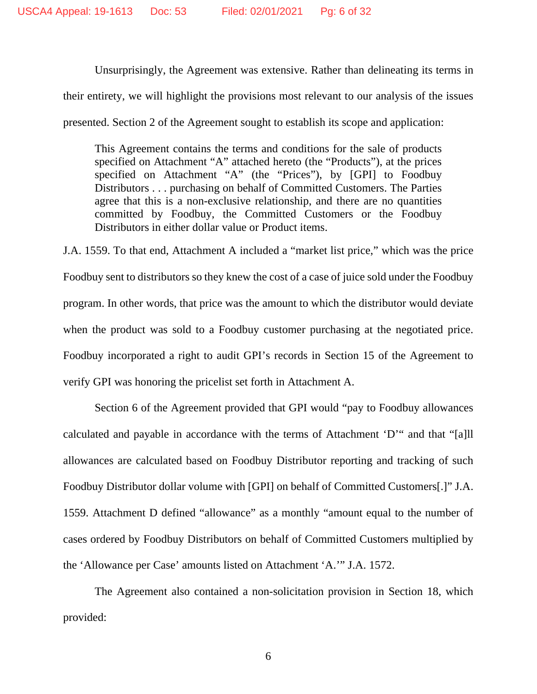Unsurprisingly, the Agreement was extensive. Rather than delineating its terms in their entirety, we will highlight the provisions most relevant to our analysis of the issues presented. Section 2 of the Agreement sought to establish its scope and application:

This Agreement contains the terms and conditions for the sale of products specified on Attachment "A" attached hereto (the "Products"), at the prices specified on Attachment "A" (the "Prices"), by [GPI] to Foodbuy Distributors . . . purchasing on behalf of Committed Customers. The Parties agree that this is a non-exclusive relationship, and there are no quantities committed by Foodbuy, the Committed Customers or the Foodbuy Distributors in either dollar value or Product items.

J.A. 1559. To that end, Attachment A included a "market list price," which was the price Foodbuy sent to distributors so they knew the cost of a case of juice sold under the Foodbuy program. In other words, that price was the amount to which the distributor would deviate when the product was sold to a Foodbuy customer purchasing at the negotiated price. Foodbuy incorporated a right to audit GPI's records in Section 15 of the Agreement to verify GPI was honoring the pricelist set forth in Attachment A.

Section 6 of the Agreement provided that GPI would "pay to Foodbuy allowances calculated and payable in accordance with the terms of Attachment 'D'" and that "[a]ll allowances are calculated based on Foodbuy Distributor reporting and tracking of such Foodbuy Distributor dollar volume with [GPI] on behalf of Committed Customers[.]" J.A. 1559. Attachment D defined "allowance" as a monthly "amount equal to the number of cases ordered by Foodbuy Distributors on behalf of Committed Customers multiplied by the 'Allowance per Case' amounts listed on Attachment 'A.'" J.A. 1572.

The Agreement also contained a non-solicitation provision in Section 18, which provided: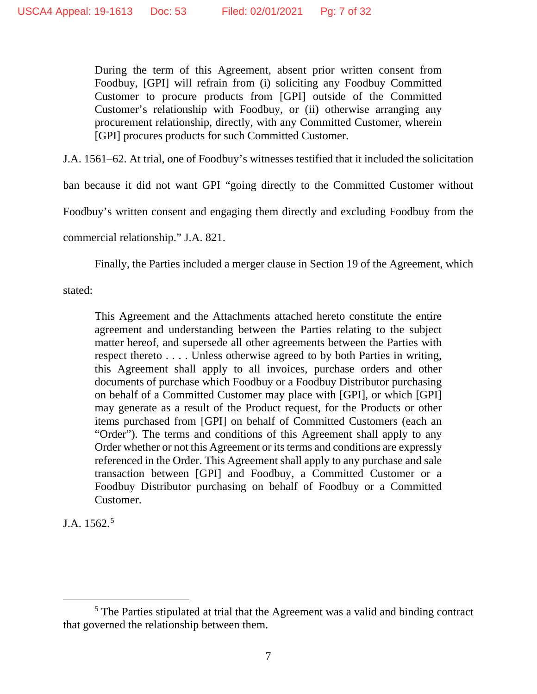During the term of this Agreement, absent prior written consent from Foodbuy, [GPI] will refrain from (i) soliciting any Foodbuy Committed Customer to procure products from [GPI] outside of the Committed Customer's relationship with Foodbuy, or (ii) otherwise arranging any procurement relationship, directly, with any Committed Customer, wherein [GPI] procures products for such Committed Customer.

J.A. 1561–62. At trial, one of Foodbuy's witnesses testified that it included the solicitation

ban because it did not want GPI "going directly to the Committed Customer without

Foodbuy's written consent and engaging them directly and excluding Foodbuy from the

commercial relationship." J.A. 821.

Finally, the Parties included a merger clause in Section 19 of the Agreement, which

stated:

This Agreement and the Attachments attached hereto constitute the entire agreement and understanding between the Parties relating to the subject matter hereof, and supersede all other agreements between the Parties with respect thereto . . . . Unless otherwise agreed to by both Parties in writing, this Agreement shall apply to all invoices, purchase orders and other documents of purchase which Foodbuy or a Foodbuy Distributor purchasing on behalf of a Committed Customer may place with [GPI], or which [GPI] may generate as a result of the Product request, for the Products or other items purchased from [GPI] on behalf of Committed Customers (each an "Order"). The terms and conditions of this Agreement shall apply to any Order whether or not this Agreement or its terms and conditions are expressly referenced in the Order. This Agreement shall apply to any purchase and sale transaction between [GPI] and Foodbuy, a Committed Customer or a Foodbuy Distributor purchasing on behalf of Foodbuy or a Committed Customer.

J.A. 1562.[5](#page-6-0)

<span id="page-6-0"></span><sup>&</sup>lt;sup>5</sup> The Parties stipulated at trial that the Agreement was a valid and binding contract that governed the relationship between them.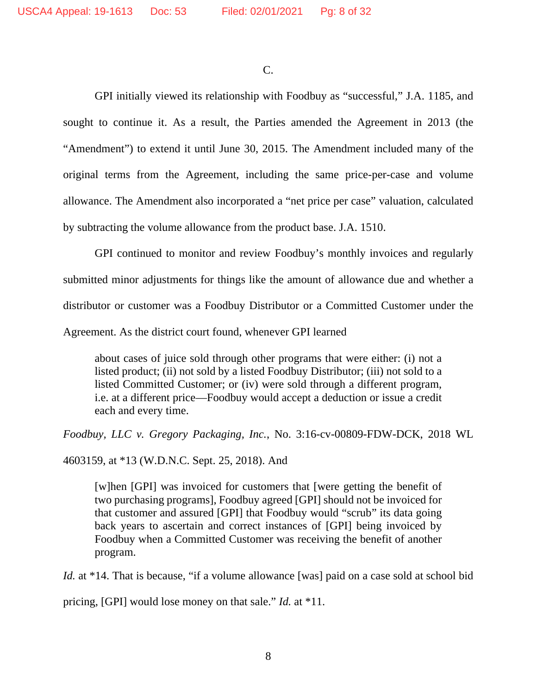C.

GPI initially viewed its relationship with Foodbuy as "successful," J.A. 1185, and sought to continue it. As a result, the Parties amended the Agreement in 2013 (the "Amendment") to extend it until June 30, 2015. The Amendment included many of the original terms from the Agreement, including the same price-per-case and volume allowance. The Amendment also incorporated a "net price per case" valuation, calculated by subtracting the volume allowance from the product base. J.A. 1510.

GPI continued to monitor and review Foodbuy's monthly invoices and regularly submitted minor adjustments for things like the amount of allowance due and whether a distributor or customer was a Foodbuy Distributor or a Committed Customer under the Agreement. As the district court found, whenever GPI learned

about cases of juice sold through other programs that were either: (i) not a listed product; (ii) not sold by a listed Foodbuy Distributor; (iii) not sold to a listed Committed Customer; or (iv) were sold through a different program, i.e. at a different price—Foodbuy would accept a deduction or issue a credit each and every time.

*Foodbuy, LLC v. Gregory Packaging, Inc.*, No. 3:16-cv-00809-FDW-DCK, 2018 WL

4603159, at \*13 (W.D.N.C. Sept. 25, 2018). And

[w]hen [GPI] was invoiced for customers that [were getting the benefit of two purchasing programs], Foodbuy agreed [GPI] should not be invoiced for that customer and assured [GPI] that Foodbuy would "scrub" its data going back years to ascertain and correct instances of [GPI] being invoiced by Foodbuy when a Committed Customer was receiving the benefit of another program.

*Id.* at \*14. That is because, "if a volume allowance [was] paid on a case sold at school bid

pricing, [GPI] would lose money on that sale." *Id.* at \*11.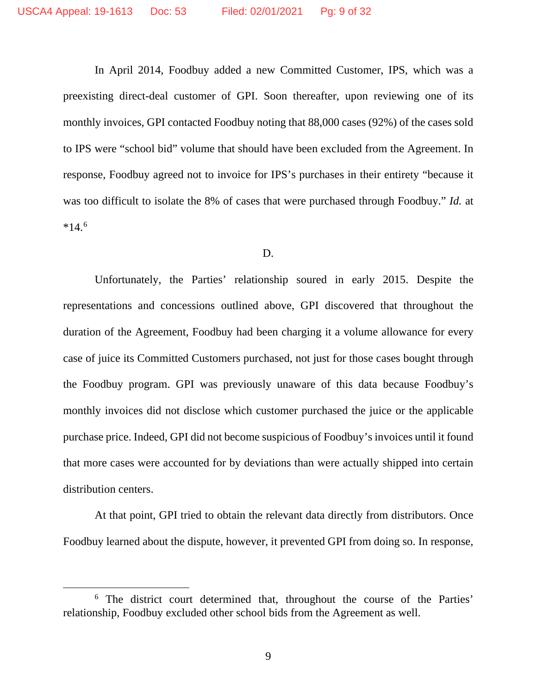In April 2014, Foodbuy added a new Committed Customer, IPS, which was a preexisting direct-deal customer of GPI. Soon thereafter, upon reviewing one of its monthly invoices, GPI contacted Foodbuy noting that 88,000 cases (92%) of the cases sold to IPS were "school bid" volume that should have been excluded from the Agreement. In response, Foodbuy agreed not to invoice for IPS's purchases in their entirety "because it was too difficult to isolate the 8% of cases that were purchased through Foodbuy." *Id.* at  $*14.6$  $*14.6$ 

#### D.

Unfortunately, the Parties' relationship soured in early 2015. Despite the representations and concessions outlined above, GPI discovered that throughout the duration of the Agreement, Foodbuy had been charging it a volume allowance for every case of juice its Committed Customers purchased, not just for those cases bought through the Foodbuy program. GPI was previously unaware of this data because Foodbuy's monthly invoices did not disclose which customer purchased the juice or the applicable purchase price. Indeed, GPI did not become suspicious of Foodbuy's invoices until it found that more cases were accounted for by deviations than were actually shipped into certain distribution centers.

At that point, GPI tried to obtain the relevant data directly from distributors. Once Foodbuy learned about the dispute, however, it prevented GPI from doing so. In response,

<span id="page-8-0"></span><sup>&</sup>lt;sup>6</sup> The district court determined that, throughout the course of the Parties' relationship, Foodbuy excluded other school bids from the Agreement as well.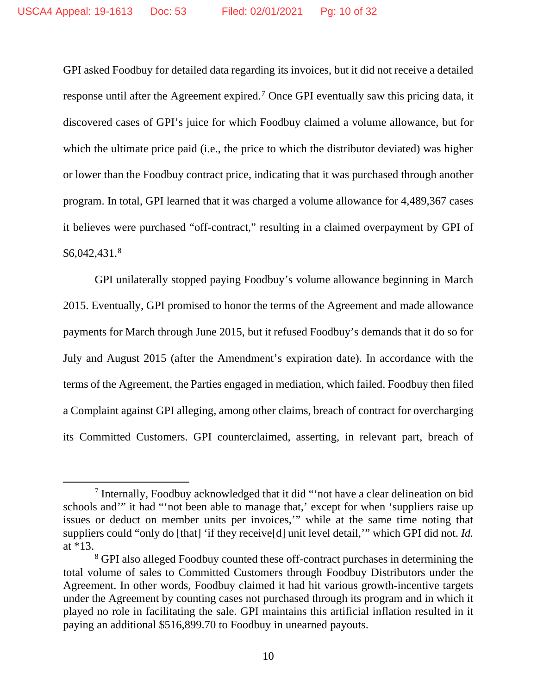GPI asked Foodbuy for detailed data regarding its invoices, but it did not receive a detailed response until after the Agreement expired.[7](#page-9-0) Once GPI eventually saw this pricing data, it discovered cases of GPI's juice for which Foodbuy claimed a volume allowance, but for which the ultimate price paid (i.e., the price to which the distributor deviated) was higher or lower than the Foodbuy contract price, indicating that it was purchased through another program. In total, GPI learned that it was charged a volume allowance for 4,489,367 cases it believes were purchased "off-contract," resulting in a claimed overpayment by GPI of  $$6,042,431.^8$  $$6,042,431.^8$ 

GPI unilaterally stopped paying Foodbuy's volume allowance beginning in March 2015. Eventually, GPI promised to honor the terms of the Agreement and made allowance payments for March through June 2015, but it refused Foodbuy's demands that it do so for July and August 2015 (after the Amendment's expiration date). In accordance with the terms of the Agreement, the Parties engaged in mediation, which failed. Foodbuy then filed a Complaint against GPI alleging, among other claims, breach of contract for overcharging its Committed Customers. GPI counterclaimed, asserting, in relevant part, breach of

<span id="page-9-0"></span><sup>7</sup> Internally, Foodbuy acknowledged that it did "'not have a clear delineation on bid schools and'" it had "'not been able to manage that,' except for when 'suppliers raise up issues or deduct on member units per invoices,'" while at the same time noting that suppliers could "only do [that] 'if they receive[d] unit level detail,'" which GPI did not. *Id.* at \*13.

<span id="page-9-1"></span><sup>8</sup> GPI also alleged Foodbuy counted these off-contract purchases in determining the total volume of sales to Committed Customers through Foodbuy Distributors under the Agreement. In other words, Foodbuy claimed it had hit various growth-incentive targets under the Agreement by counting cases not purchased through its program and in which it played no role in facilitating the sale. GPI maintains this artificial inflation resulted in it paying an additional \$516,899.70 to Foodbuy in unearned payouts.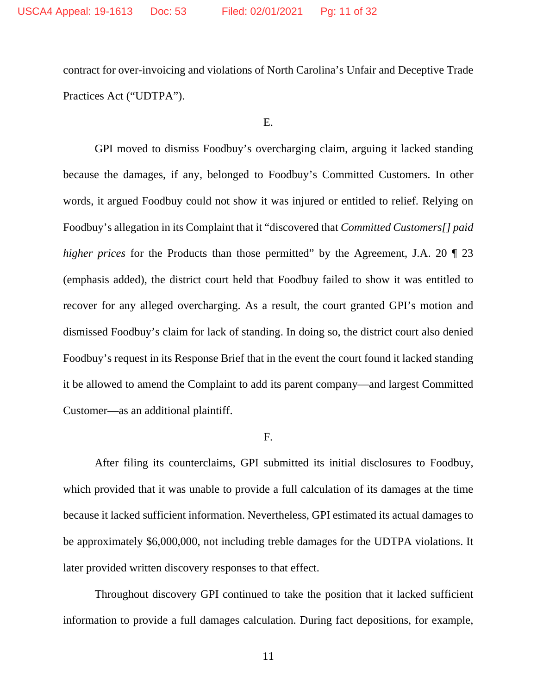contract for over-invoicing and violations of North Carolina's Unfair and Deceptive Trade Practices Act ("UDTPA").

E.

GPI moved to dismiss Foodbuy's overcharging claim, arguing it lacked standing because the damages, if any, belonged to Foodbuy's Committed Customers. In other words, it argued Foodbuy could not show it was injured or entitled to relief. Relying on Foodbuy's allegation in its Complaint that it "discovered that *Committed Customers[] paid higher prices* for the Products than those permitted" by the Agreement, J.A. 20  $\sqrt{\ }$  23 (emphasis added), the district court held that Foodbuy failed to show it was entitled to recover for any alleged overcharging. As a result, the court granted GPI's motion and dismissed Foodbuy's claim for lack of standing. In doing so, the district court also denied Foodbuy's request in its Response Brief that in the event the court found it lacked standing it be allowed to amend the Complaint to add its parent company—and largest Committed Customer—as an additional plaintiff.

F.

After filing its counterclaims, GPI submitted its initial disclosures to Foodbuy, which provided that it was unable to provide a full calculation of its damages at the time because it lacked sufficient information. Nevertheless, GPI estimated its actual damages to be approximately \$6,000,000, not including treble damages for the UDTPA violations. It later provided written discovery responses to that effect.

Throughout discovery GPI continued to take the position that it lacked sufficient information to provide a full damages calculation. During fact depositions, for example,

11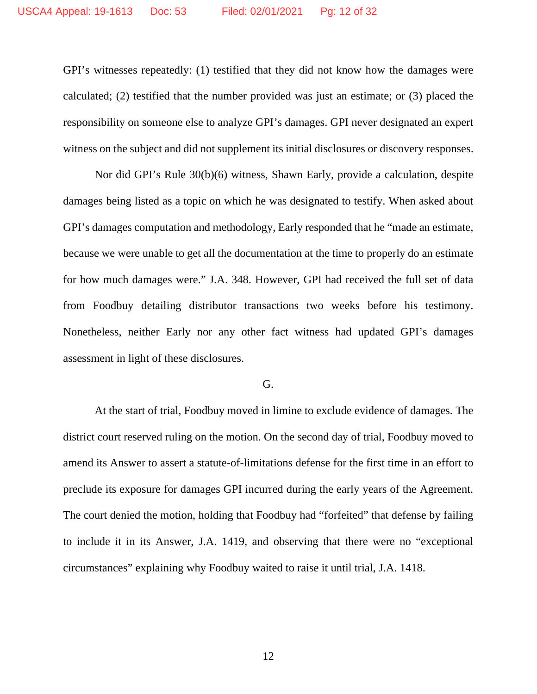GPI's witnesses repeatedly: (1) testified that they did not know how the damages were calculated; (2) testified that the number provided was just an estimate; or (3) placed the responsibility on someone else to analyze GPI's damages. GPI never designated an expert witness on the subject and did not supplement its initial disclosures or discovery responses.

Nor did GPI's Rule 30(b)(6) witness, Shawn Early, provide a calculation, despite damages being listed as a topic on which he was designated to testify. When asked about GPI's damages computation and methodology, Early responded that he "made an estimate, because we were unable to get all the documentation at the time to properly do an estimate for how much damages were." J.A. 348. However, GPI had received the full set of data from Foodbuy detailing distributor transactions two weeks before his testimony. Nonetheless, neither Early nor any other fact witness had updated GPI's damages assessment in light of these disclosures.

## G.

At the start of trial, Foodbuy moved in limine to exclude evidence of damages. The district court reserved ruling on the motion. On the second day of trial, Foodbuy moved to amend its Answer to assert a statute-of-limitations defense for the first time in an effort to preclude its exposure for damages GPI incurred during the early years of the Agreement. The court denied the motion, holding that Foodbuy had "forfeited" that defense by failing to include it in its Answer, J.A. 1419, and observing that there were no "exceptional circumstances" explaining why Foodbuy waited to raise it until trial, J.A. 1418.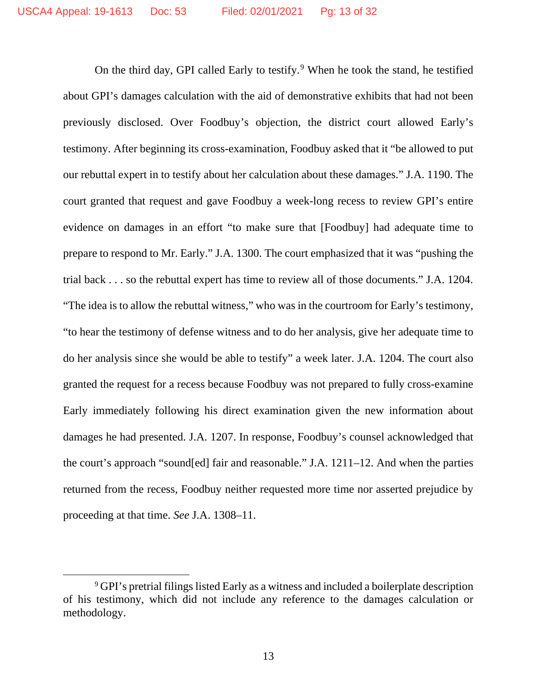On the third day, GPI called Early to testify.[9](#page-12-0) When he took the stand, he testified about GPI's damages calculation with the aid of demonstrative exhibits that had not been previously disclosed. Over Foodbuy's objection, the district court allowed Early's testimony. After beginning its cross-examination, Foodbuy asked that it "be allowed to put our rebuttal expert in to testify about her calculation about these damages." J.A. 1190. The court granted that request and gave Foodbuy a week-long recess to review GPI's entire evidence on damages in an effort "to make sure that [Foodbuy] had adequate time to prepare to respond to Mr. Early." J.A. 1300. The court emphasized that it was "pushing the trial back . . . so the rebuttal expert has time to review all of those documents." J.A. 1204. "The idea is to allow the rebuttal witness," who was in the courtroom for Early's testimony, "to hear the testimony of defense witness and to do her analysis, give her adequate time to do her analysis since she would be able to testify" a week later. J.A. 1204. The court also granted the request for a recess because Foodbuy was not prepared to fully cross-examine Early immediately following his direct examination given the new information about damages he had presented. J.A. 1207. In response, Foodbuy's counsel acknowledged that the court's approach "sound[ed] fair and reasonable." J.A. 1211–12. And when the parties returned from the recess, Foodbuy neither requested more time nor asserted prejudice by proceeding at that time. *See* J.A. 1308–11.

<span id="page-12-0"></span><sup>9</sup> GPI's pretrial filings listed Early as a witness and included a boilerplate description of his testimony, which did not include any reference to the damages calculation or methodology.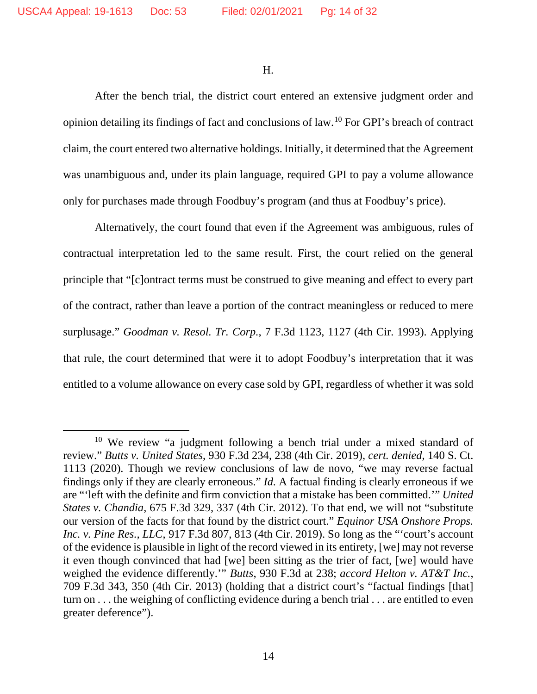H.

After the bench trial, the district court entered an extensive judgment order and opinion detailing its findings of fact and conclusions of law.[10](#page-13-0) For GPI's breach of contract claim, the court entered two alternative holdings. Initially, it determined that the Agreement was unambiguous and, under its plain language, required GPI to pay a volume allowance only for purchases made through Foodbuy's program (and thus at Foodbuy's price).

Alternatively, the court found that even if the Agreement was ambiguous, rules of contractual interpretation led to the same result. First, the court relied on the general principle that "[c]ontract terms must be construed to give meaning and effect to every part of the contract, rather than leave a portion of the contract meaningless or reduced to mere surplusage." *Goodman v. Resol. Tr. Corp.*, 7 F.3d 1123, 1127 (4th Cir. 1993). Applying that rule, the court determined that were it to adopt Foodbuy's interpretation that it was entitled to a volume allowance on every case sold by GPI, regardless of whether it was sold

<span id="page-13-0"></span><sup>&</sup>lt;sup>10</sup> We review "a judgment following a bench trial under a mixed standard of review." *Butts v. United States*, 930 F.3d 234, 238 (4th Cir. 2019), *cert. denied*, 140 S. Ct. 1113 (2020). Though we review conclusions of law de novo, "we may reverse factual findings only if they are clearly erroneous." *Id.* A factual finding is clearly erroneous if we are "'left with the definite and firm conviction that a mistake has been committed.'" *United States v. Chandia*, 675 F.3d 329, 337 (4th Cir. 2012). To that end, we will not "substitute our version of the facts for that found by the district court." *Equinor USA Onshore Props. Inc. v. Pine Res., LLC*, 917 F.3d 807, 813 (4th Cir. 2019). So long as the "'court's account of the evidence is plausible in light of the record viewed in its entirety, [we] may not reverse it even though convinced that had [we] been sitting as the trier of fact, [we] would have weighed the evidence differently.'" *Butts*, 930 F.3d at 238; *accord Helton v. AT&T Inc.*, 709 F.3d 343, 350 (4th Cir. 2013) (holding that a district court's "factual findings [that] turn on . . . the weighing of conflicting evidence during a bench trial . . . are entitled to even greater deference").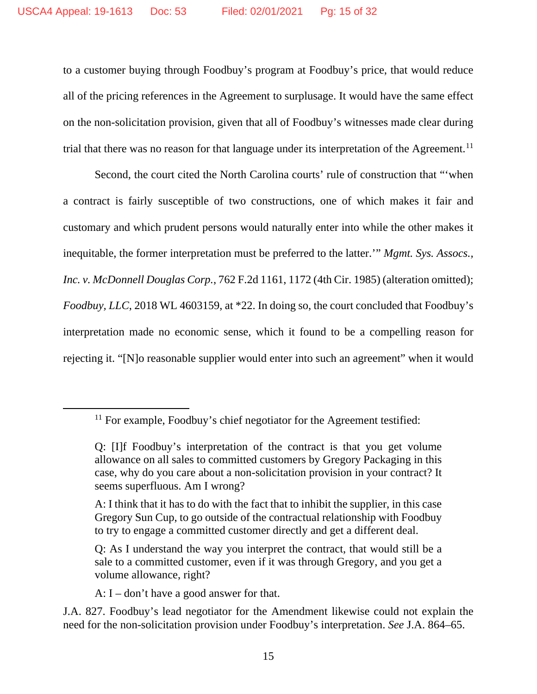to a customer buying through Foodbuy's program at Foodbuy's price, that would reduce all of the pricing references in the Agreement to surplusage. It would have the same effect on the non-solicitation provision, given that all of Foodbuy's witnesses made clear during trial that there was no reason for that language under its interpretation of the Agreement.<sup>[11](#page-14-0)</sup>

Second, the court cited the North Carolina courts' rule of construction that "'when a contract is fairly susceptible of two constructions, one of which makes it fair and customary and which prudent persons would naturally enter into while the other makes it inequitable, the former interpretation must be preferred to the latter.'" *Mgmt. Sys. Assocs., Inc. v. McDonnell Douglas Corp.*, 762 F.2d 1161, 1172 (4th Cir. 1985) (alteration omitted); *Foodbuy, LLC*, 2018 WL 4603159, at \*22. In doing so, the court concluded that Foodbuy's interpretation made no economic sense, which it found to be a compelling reason for rejecting it. "[N]o reasonable supplier would enter into such an agreement" when it would

A: I – don't have a good answer for that.

<span id="page-14-0"></span> $11$  For example, Foodbuy's chief negotiator for the Agreement testified:

Q: [I]f Foodbuy's interpretation of the contract is that you get volume allowance on all sales to committed customers by Gregory Packaging in this case, why do you care about a non-solicitation provision in your contract? It seems superfluous. Am I wrong?

A: I think that it has to do with the fact that to inhibit the supplier, in this case Gregory Sun Cup, to go outside of the contractual relationship with Foodbuy to try to engage a committed customer directly and get a different deal.

Q: As I understand the way you interpret the contract, that would still be a sale to a committed customer, even if it was through Gregory, and you get a volume allowance, right?

J.A. 827. Foodbuy's lead negotiator for the Amendment likewise could not explain the need for the non-solicitation provision under Foodbuy's interpretation. *See* J.A. 864–65.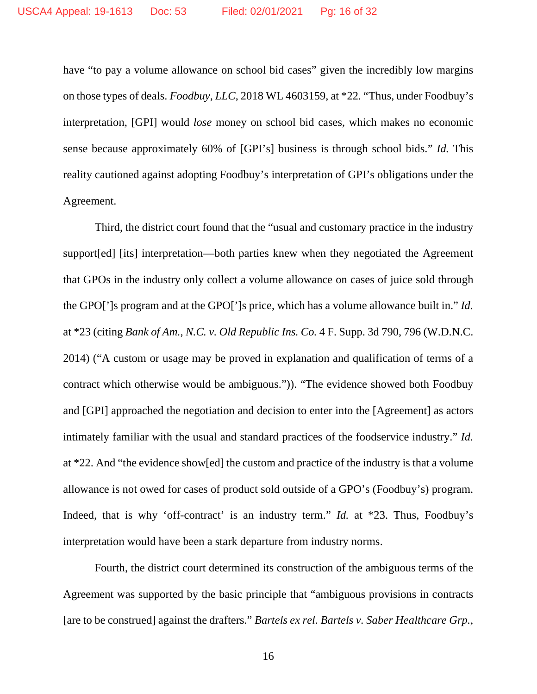have "to pay a volume allowance on school bid cases" given the incredibly low margins on those types of deals. *Foodbuy, LLC*, 2018 WL 4603159, at \*22*.* "Thus, under Foodbuy's interpretation, [GPI] would *lose* money on school bid cases, which makes no economic sense because approximately 60% of [GPI's] business is through school bids." *Id.* This reality cautioned against adopting Foodbuy's interpretation of GPI's obligations under the Agreement.

Third, the district court found that the "usual and customary practice in the industry support[ed] [its] interpretation—both parties knew when they negotiated the Agreement that GPOs in the industry only collect a volume allowance on cases of juice sold through the GPO[']s program and at the GPO[']s price, which has a volume allowance built in." *Id.* at \*23 (citing *Bank of Am., N.C. v. Old Republic Ins. Co.* 4 F. Supp. 3d 790, 796 (W.D.N.C. 2014) ("A custom or usage may be proved in explanation and qualification of terms of a contract which otherwise would be ambiguous.")). "The evidence showed both Foodbuy and [GPI] approached the negotiation and decision to enter into the [Agreement] as actors intimately familiar with the usual and standard practices of the foodservice industry." *Id.* at \*22. And "the evidence show[ed] the custom and practice of the industry is that a volume allowance is not owed for cases of product sold outside of a GPO's (Foodbuy's) program. Indeed, that is why 'off-contract' is an industry term." *Id.* at \*23. Thus, Foodbuy's interpretation would have been a stark departure from industry norms.

Fourth, the district court determined its construction of the ambiguous terms of the Agreement was supported by the basic principle that "ambiguous provisions in contracts [are to be construed] against the drafters." *Bartels ex rel. Bartels v. Saber Healthcare Grp.,*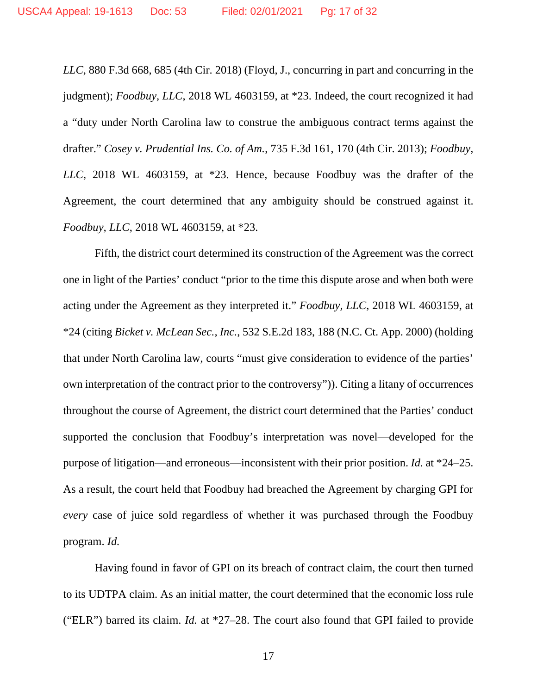*LLC*, 880 F.3d 668, 685 (4th Cir. 2018) (Floyd, J., concurring in part and concurring in the judgment); *Foodbuy, LLC*, 2018 WL 4603159, at \*23. Indeed, the court recognized it had a "duty under North Carolina law to construe the ambiguous contract terms against the drafter." *Cosey v. Prudential Ins. Co. of Am.*, 735 F.3d 161, 170 (4th Cir. 2013); *Foodbuy, LLC*, 2018 WL 4603159, at \*23. Hence, because Foodbuy was the drafter of the Agreement, the court determined that any ambiguity should be construed against it. *Foodbuy, LLC*, 2018 WL 4603159, at \*23.

Fifth, the district court determined its construction of the Agreement was the correct one in light of the Parties' conduct "prior to the time this dispute arose and when both were acting under the Agreement as they interpreted it." *Foodbuy, LLC*, 2018 WL 4603159, at \*24 (citing *Bicket v. McLean Sec., Inc.*, 532 S.E.2d 183, 188 (N.C. Ct. App. 2000) (holding that under North Carolina law, courts "must give consideration to evidence of the parties' own interpretation of the contract prior to the controversy")). Citing a litany of occurrences throughout the course of Agreement, the district court determined that the Parties' conduct supported the conclusion that Foodbuy's interpretation was novel—developed for the purpose of litigation—and erroneous—inconsistent with their prior position. *Id.* at \*24–25. As a result, the court held that Foodbuy had breached the Agreement by charging GPI for *every* case of juice sold regardless of whether it was purchased through the Foodbuy program. *Id.*

Having found in favor of GPI on its breach of contract claim, the court then turned to its UDTPA claim. As an initial matter, the court determined that the economic loss rule ("ELR") barred its claim. *Id.* at \*27–28. The court also found that GPI failed to provide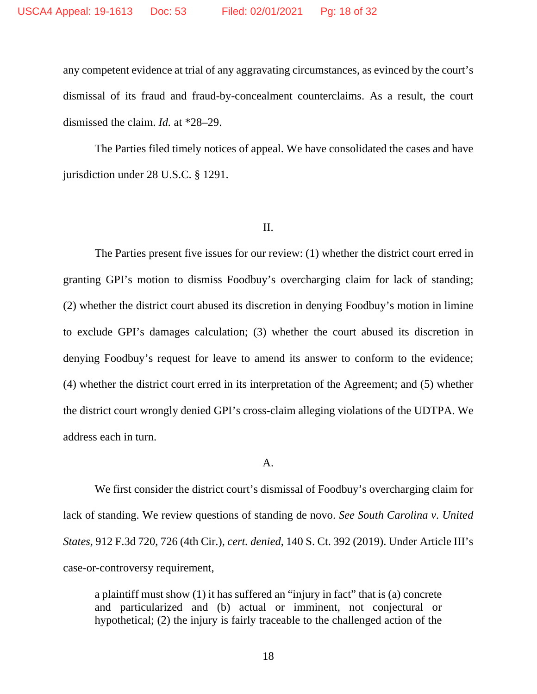any competent evidence at trial of any aggravating circumstances, as evinced by the court's dismissal of its fraud and fraud-by-concealment counterclaims. As a result, the court dismissed the claim. *Id.* at \*28–29.

The Parties filed timely notices of appeal. We have consolidated the cases and have jurisdiction under 28 U.S.C. § 1291.

#### II.

The Parties present five issues for our review: (1) whether the district court erred in granting GPI's motion to dismiss Foodbuy's overcharging claim for lack of standing; (2) whether the district court abused its discretion in denying Foodbuy's motion in limine to exclude GPI's damages calculation; (3) whether the court abused its discretion in denying Foodbuy's request for leave to amend its answer to conform to the evidence; (4) whether the district court erred in its interpretation of the Agreement; and (5) whether the district court wrongly denied GPI's cross-claim alleging violations of the UDTPA. We address each in turn.

#### A.

We first consider the district court's dismissal of Foodbuy's overcharging claim for lack of standing. We review questions of standing de novo. *See South Carolina v. United States*, 912 F.3d 720, 726 (4th Cir.), *cert. denied*, 140 S. Ct. 392 (2019). Under Article III's case-or-controversy requirement,

a plaintiff must show (1) it has suffered an "injury in fact" that is (a) concrete and particularized and (b) actual or imminent, not conjectural or hypothetical; (2) the injury is fairly traceable to the challenged action of the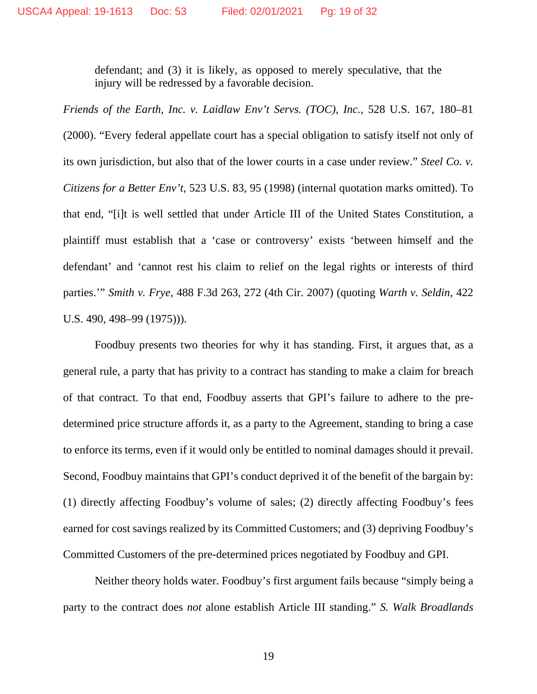defendant; and (3) it is likely, as opposed to merely speculative, that the injury will be redressed by a favorable decision.

*Friends of the Earth, Inc. v. Laidlaw Env't Servs. (TOC), Inc.*, 528 U.S. 167, 180–81 (2000). "Every federal appellate court has a special obligation to satisfy itself not only of its own jurisdiction, but also that of the lower courts in a case under review." *Steel Co. v. Citizens for a Better Env't*, 523 U.S. 83, 95 (1998) (internal quotation marks omitted). To that end, "[i]t is well settled that under Article III of the United States Constitution, a plaintiff must establish that a 'case or controversy' exists 'between himself and the defendant' and 'cannot rest his claim to relief on the legal rights or interests of third parties.'" *Smith v. Frye*, 488 F.3d 263, 272 (4th Cir. 2007) (quoting *Warth v. Seldin*, 422 U.S. 490, 498–99 (1975))).

Foodbuy presents two theories for why it has standing. First, it argues that, as a general rule, a party that has privity to a contract has standing to make a claim for breach of that contract. To that end, Foodbuy asserts that GPI's failure to adhere to the predetermined price structure affords it, as a party to the Agreement, standing to bring a case to enforce its terms, even if it would only be entitled to nominal damages should it prevail. Second, Foodbuy maintains that GPI's conduct deprived it of the benefit of the bargain by: (1) directly affecting Foodbuy's volume of sales; (2) directly affecting Foodbuy's fees earned for cost savings realized by its Committed Customers; and (3) depriving Foodbuy's Committed Customers of the pre-determined prices negotiated by Foodbuy and GPI.

Neither theory holds water. Foodbuy's first argument fails because "simply being a party to the contract does *not* alone establish Article III standing." *S. Walk Broadlands*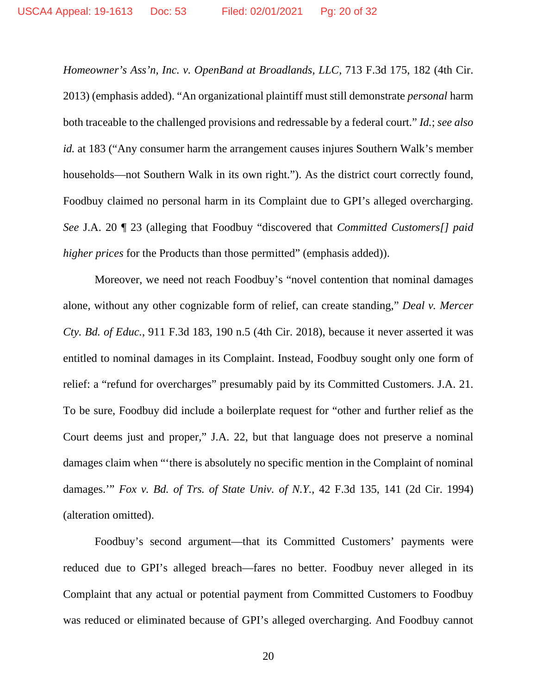*Homeowner's Ass'n, Inc. v. OpenBand at Broadlands, LLC*, 713 F.3d 175, 182 (4th Cir. 2013) (emphasis added). "An organizational plaintiff must still demonstrate *personal* harm both traceable to the challenged provisions and redressable by a federal court." *Id.*; *see also id.* at 183 ("Any consumer harm the arrangement causes injures Southern Walk's member households—not Southern Walk in its own right."). As the district court correctly found, Foodbuy claimed no personal harm in its Complaint due to GPI's alleged overcharging. *See* J.A. 20 ¶ 23 (alleging that Foodbuy "discovered that *Committed Customers[] paid higher prices* for the Products than those permitted" (emphasis added)).

Moreover, we need not reach Foodbuy's "novel contention that nominal damages alone, without any other cognizable form of relief, can create standing," *Deal v. Mercer Cty. Bd. of Educ.*, 911 F.3d 183, 190 n.5 (4th Cir. 2018), because it never asserted it was entitled to nominal damages in its Complaint. Instead, Foodbuy sought only one form of relief: a "refund for overcharges" presumably paid by its Committed Customers. J.A. 21. To be sure, Foodbuy did include a boilerplate request for "other and further relief as the Court deems just and proper," J.A. 22, but that language does not preserve a nominal damages claim when "'there is absolutely no specific mention in the Complaint of nominal damages.'" *Fox v. Bd. of Trs. of State Univ. of N.Y.*, 42 F.3d 135, 141 (2d Cir. 1994) (alteration omitted).

Foodbuy's second argument—that its Committed Customers' payments were reduced due to GPI's alleged breach—fares no better. Foodbuy never alleged in its Complaint that any actual or potential payment from Committed Customers to Foodbuy was reduced or eliminated because of GPI's alleged overcharging. And Foodbuy cannot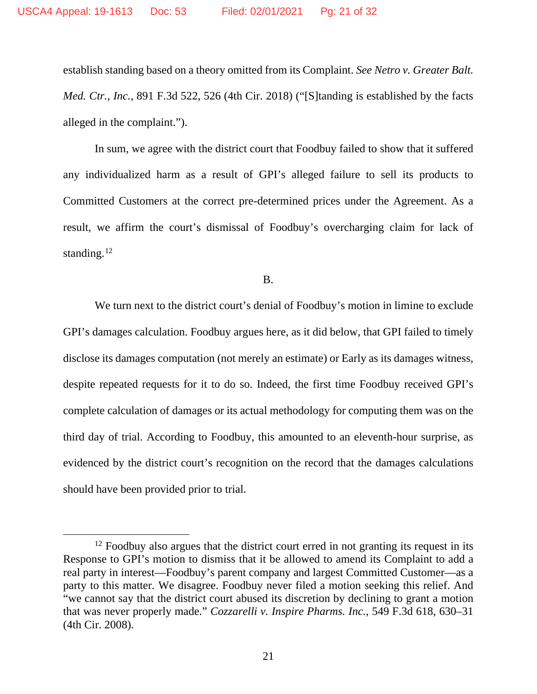establish standing based on a theory omitted from its Complaint. *See Netro v. Greater Balt. Med. Ctr., Inc.*, 891 F.3d 522, 526 (4th Cir. 2018) ("[S]tanding is established by the facts alleged in the complaint.").

In sum, we agree with the district court that Foodbuy failed to show that it suffered any individualized harm as a result of GPI's alleged failure to sell its products to Committed Customers at the correct pre-determined prices under the Agreement. As a result, we affirm the court's dismissal of Foodbuy's overcharging claim for lack of standing. $12$ 

B.

We turn next to the district court's denial of Foodbuy's motion in limine to exclude GPI's damages calculation. Foodbuy argues here, as it did below, that GPI failed to timely disclose its damages computation (not merely an estimate) or Early as its damages witness, despite repeated requests for it to do so. Indeed, the first time Foodbuy received GPI's complete calculation of damages or its actual methodology for computing them was on the third day of trial. According to Foodbuy, this amounted to an eleventh-hour surprise, as evidenced by the district court's recognition on the record that the damages calculations should have been provided prior to trial.

<span id="page-20-0"></span> $12$  Foodbuy also argues that the district court erred in not granting its request in its Response to GPI's motion to dismiss that it be allowed to amend its Complaint to add a real party in interest—Foodbuy's parent company and largest Committed Customer—as a party to this matter. We disagree. Foodbuy never filed a motion seeking this relief. And "we cannot say that the district court abused its discretion by declining to grant a motion that was never properly made." *Cozzarelli v. Inspire Pharms. Inc.*, 549 F.3d 618, 630–31 (4th Cir. 2008).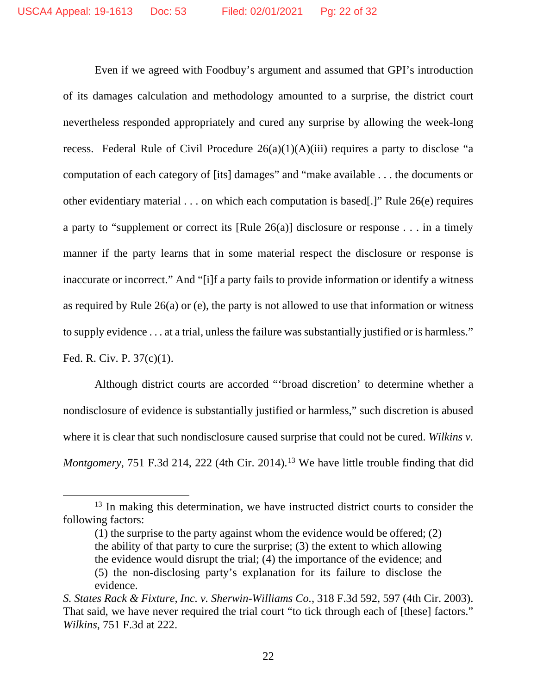Even if we agreed with Foodbuy's argument and assumed that GPI's introduction of its damages calculation and methodology amounted to a surprise, the district court nevertheless responded appropriately and cured any surprise by allowing the week-long recess. Federal Rule of Civil Procedure  $26(a)(1)(A)(iii)$  requires a party to disclose "a computation of each category of [its] damages" and "make available . . . the documents or other evidentiary material . . . on which each computation is based[.]" Rule 26(e) requires a party to "supplement or correct its [Rule 26(a)] disclosure or response . . . in a timely manner if the party learns that in some material respect the disclosure or response is inaccurate or incorrect." And "[i]f a party fails to provide information or identify a witness as required by Rule 26(a) or (e), the party is not allowed to use that information or witness to supply evidence . . . at a trial, unless the failure was substantially justified or is harmless."

Fed. R. Civ. P. 37(c)(1).

Although district courts are accorded "'broad discretion' to determine whether a nondisclosure of evidence is substantially justified or harmless," such discretion is abused where it is clear that such nondisclosure caused surprise that could not be cured. *Wilkins v. Montgomery*, 751 F.3d 214, 222 (4th Cir. 2014).<sup>[13](#page-21-0)</sup> We have little trouble finding that did

<span id="page-21-0"></span><sup>&</sup>lt;sup>13</sup> In making this determination, we have instructed district courts to consider the following factors:

<sup>(1)</sup> the surprise to the party against whom the evidence would be offered; (2) the ability of that party to cure the surprise; (3) the extent to which allowing the evidence would disrupt the trial; (4) the importance of the evidence; and (5) the non-disclosing party's explanation for its failure to disclose the evidence.

*S. States Rack & Fixture, Inc. v. Sherwin-Williams Co.*, 318 F.3d 592, 597 (4th Cir. 2003). That said, we have never required the trial court "to tick through each of [these] factors." *Wilkins*, 751 F.3d at 222.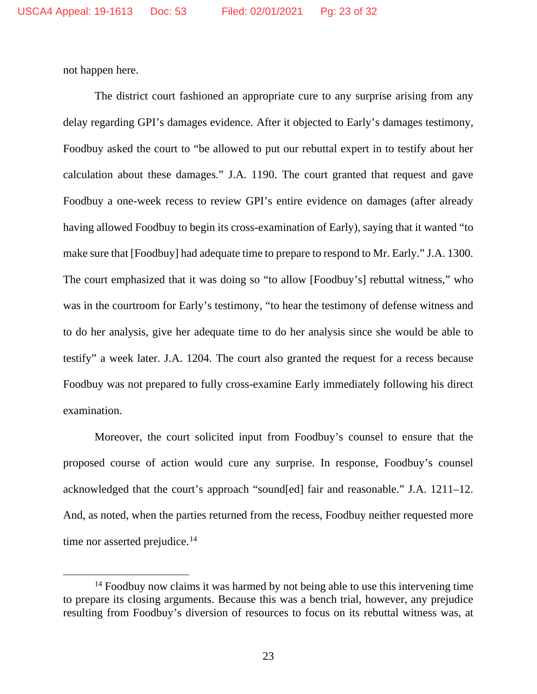not happen here.

The district court fashioned an appropriate cure to any surprise arising from any delay regarding GPI's damages evidence. After it objected to Early's damages testimony, Foodbuy asked the court to "be allowed to put our rebuttal expert in to testify about her calculation about these damages." J.A. 1190. The court granted that request and gave Foodbuy a one-week recess to review GPI's entire evidence on damages (after already having allowed Foodbuy to begin its cross-examination of Early), saying that it wanted "to make sure that [Foodbuy] had adequate time to prepare to respond to Mr. Early." J.A. 1300. The court emphasized that it was doing so "to allow [Foodbuy's] rebuttal witness," who was in the courtroom for Early's testimony, "to hear the testimony of defense witness and to do her analysis, give her adequate time to do her analysis since she would be able to testify" a week later. J.A. 1204. The court also granted the request for a recess because Foodbuy was not prepared to fully cross-examine Early immediately following his direct examination.

Moreover, the court solicited input from Foodbuy's counsel to ensure that the proposed course of action would cure any surprise. In response, Foodbuy's counsel acknowledged that the court's approach "sound[ed] fair and reasonable." J.A. 1211–12. And, as noted, when the parties returned from the recess, Foodbuy neither requested more time nor asserted prejudice.<sup>[14](#page-22-0)</sup>

<span id="page-22-0"></span><sup>&</sup>lt;sup>14</sup> Foodbuy now claims it was harmed by not being able to use this intervening time to prepare its closing arguments. Because this was a bench trial, however, any prejudice resulting from Foodbuy's diversion of resources to focus on its rebuttal witness was, at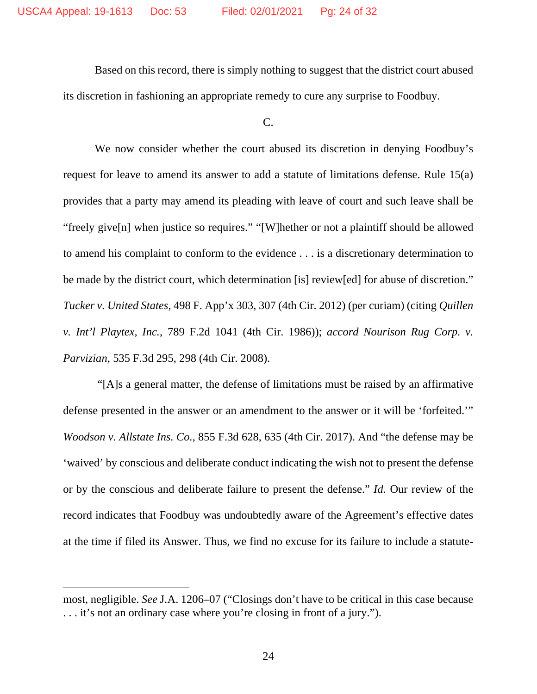Based on this record, there is simply nothing to suggest that the district court abused its discretion in fashioning an appropriate remedy to cure any surprise to Foodbuy.

C.

We now consider whether the court abused its discretion in denying Foodbuy's request for leave to amend its answer to add a statute of limitations defense. Rule 15(a) provides that a party may amend its pleading with leave of court and such leave shall be "freely give[n] when justice so requires." "[W]hether or not a plaintiff should be allowed to amend his complaint to conform to the evidence . . . is a discretionary determination to be made by the district court, which determination [is] review[ed] for abuse of discretion." *Tucker v. United States*, 498 F. App'x 303, 307 (4th Cir. 2012) (per curiam) (citing *Quillen v. Int'l Playtex, Inc.*, 789 F.2d 1041 (4th Cir. 1986)); *accord Nourison Rug Corp. v. Parvizian*, 535 F.3d 295, 298 (4th Cir. 2008).

"[A]s a general matter, the defense of limitations must be raised by an affirmative defense presented in the answer or an amendment to the answer or it will be 'forfeited.'" *Woodson v. Allstate Ins. Co.*, 855 F.3d 628, 635 (4th Cir. 2017). And "the defense may be 'waived' by conscious and deliberate conduct indicating the wish not to present the defense or by the conscious and deliberate failure to present the defense." *Id.* Our review of the record indicates that Foodbuy was undoubtedly aware of the Agreement's effective dates at the time if filed its Answer. Thus, we find no excuse for its failure to include a statute-

most, negligible. *See* J.A. 1206–07 ("Closings don't have to be critical in this case because . . . it's not an ordinary case where you're closing in front of a jury.").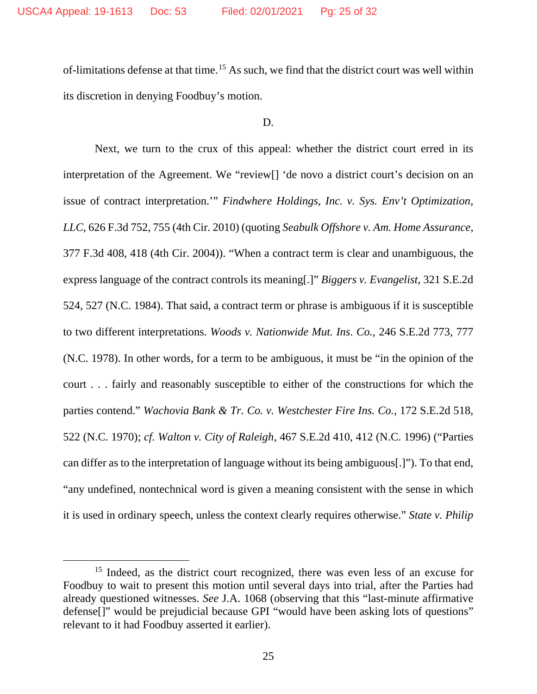of-limitations defense at that time.[15](#page-24-0) As such, we find that the district court was well within its discretion in denying Foodbuy's motion.

## D.

Next, we turn to the crux of this appeal: whether the district court erred in its interpretation of the Agreement. We "review[] 'de novo a district court's decision on an issue of contract interpretation.'" *Findwhere Holdings, Inc. v. Sys. Env't Optimization, LLC*, 626 F.3d 752, 755 (4th Cir. 2010) (quoting *Seabulk Offshore v. Am. Home Assurance*, 377 F.3d 408, 418 (4th Cir. 2004)). "When a contract term is clear and unambiguous, the express language of the contract controls its meaning[.]" *Biggers v. Evangelist*, 321 S.E.2d 524, 527 (N.C. 1984). That said, a contract term or phrase is ambiguous if it is susceptible to two different interpretations. *Woods v. Nationwide Mut. Ins. Co.*, 246 S.E.2d 773, 777 (N.C. 1978). In other words, for a term to be ambiguous, it must be "in the opinion of the court . . . fairly and reasonably susceptible to either of the constructions for which the parties contend." *Wachovia Bank & Tr. Co. v. Westchester Fire Ins. Co.*, 172 S.E.2d 518, 522 (N.C. 1970); *cf. Walton v. City of Raleigh*, 467 S.E.2d 410, 412 (N.C. 1996) ("Parties can differ as to the interpretation of language without its being ambiguous[.]"). To that end, "any undefined, nontechnical word is given a meaning consistent with the sense in which it is used in ordinary speech, unless the context clearly requires otherwise." *State v. Philip* 

<span id="page-24-0"></span><sup>&</sup>lt;sup>15</sup> Indeed, as the district court recognized, there was even less of an excuse for Foodbuy to wait to present this motion until several days into trial, after the Parties had already questioned witnesses. *See* J.A. 1068 (observing that this "last-minute affirmative defense[]" would be prejudicial because GPI "would have been asking lots of questions" relevant to it had Foodbuy asserted it earlier).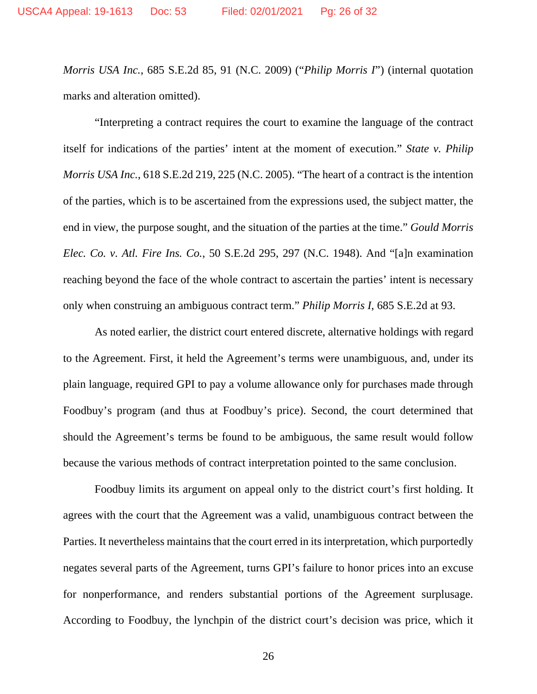*Morris USA Inc.*, 685 S.E.2d 85, 91 (N.C. 2009) ("*Philip Morris I*") (internal quotation marks and alteration omitted).

"Interpreting a contract requires the court to examine the language of the contract itself for indications of the parties' intent at the moment of execution." *State v. Philip Morris USA Inc.*, 618 S.E.2d 219, 225 (N.C. 2005). "The heart of a contract is the intention of the parties, which is to be ascertained from the expressions used, the subject matter, the end in view, the purpose sought, and the situation of the parties at the time." *Gould Morris Elec. Co. v. Atl. Fire Ins. Co.*, 50 S.E.2d 295, 297 (N.C. 1948). And "[a]n examination reaching beyond the face of the whole contract to ascertain the parties' intent is necessary only when construing an ambiguous contract term." *Philip Morris I*, 685 S.E.2d at 93.

As noted earlier, the district court entered discrete, alternative holdings with regard to the Agreement. First, it held the Agreement's terms were unambiguous, and, under its plain language, required GPI to pay a volume allowance only for purchases made through Foodbuy's program (and thus at Foodbuy's price). Second, the court determined that should the Agreement's terms be found to be ambiguous, the same result would follow because the various methods of contract interpretation pointed to the same conclusion.

Foodbuy limits its argument on appeal only to the district court's first holding. It agrees with the court that the Agreement was a valid, unambiguous contract between the Parties. It nevertheless maintains that the court erred in its interpretation, which purportedly negates several parts of the Agreement, turns GPI's failure to honor prices into an excuse for nonperformance, and renders substantial portions of the Agreement surplusage. According to Foodbuy, the lynchpin of the district court's decision was price, which it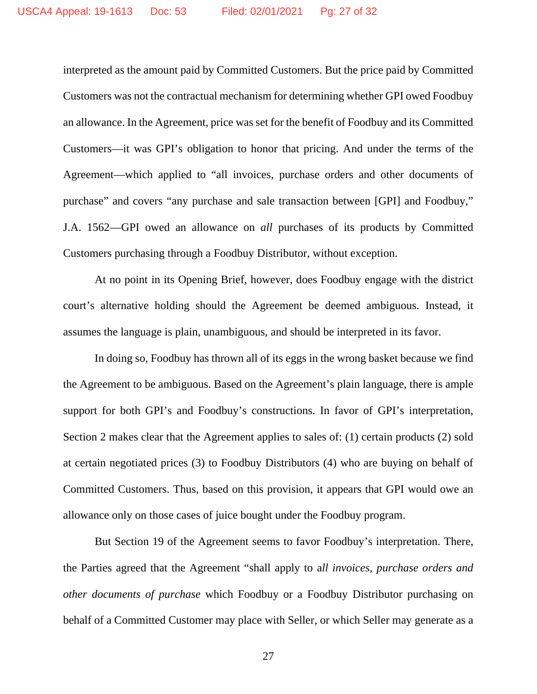interpreted as the amount paid by Committed Customers. But the price paid by Committed Customers was not the contractual mechanism for determining whether GPI owed Foodbuy an allowance. In the Agreement, price was set for the benefit of Foodbuy and its Committed Customers—it was GPI's obligation to honor that pricing. And under the terms of the Agreement—which applied to "all invoices, purchase orders and other documents of purchase" and covers "any purchase and sale transaction between [GPI] and Foodbuy," J.A. 1562—GPI owed an allowance on *all* purchases of its products by Committed Customers purchasing through a Foodbuy Distributor, without exception.

At no point in its Opening Brief, however, does Foodbuy engage with the district court's alternative holding should the Agreement be deemed ambiguous. Instead, it assumes the language is plain, unambiguous, and should be interpreted in its favor.

In doing so, Foodbuy has thrown all of its eggs in the wrong basket because we find the Agreement to be ambiguous. Based on the Agreement's plain language, there is ample support for both GPI's and Foodbuy's constructions. In favor of GPI's interpretation, Section 2 makes clear that the Agreement applies to sales of: (1) certain products (2) sold at certain negotiated prices (3) to Foodbuy Distributors (4) who are buying on behalf of Committed Customers. Thus, based on this provision, it appears that GPI would owe an allowance only on those cases of juice bought under the Foodbuy program.

But Section 19 of the Agreement seems to favor Foodbuy's interpretation. There, the Parties agreed that the Agreement "shall apply to a*ll invoices, purchase orders and other documents of purchase* which Foodbuy or a Foodbuy Distributor purchasing on behalf of a Committed Customer may place with Seller, or which Seller may generate as a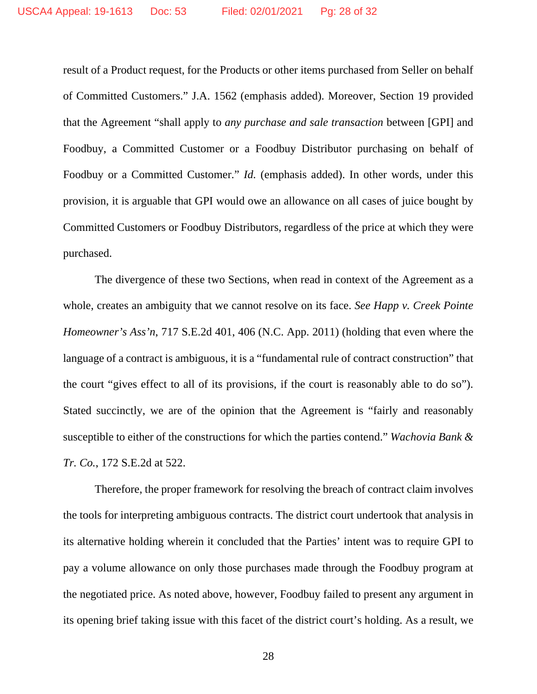result of a Product request, for the Products or other items purchased from Seller on behalf of Committed Customers." J.A. 1562 (emphasis added). Moreover, Section 19 provided that the Agreement "shall apply to *any purchase and sale transaction* between [GPI] and Foodbuy, a Committed Customer or a Foodbuy Distributor purchasing on behalf of Foodbuy or a Committed Customer." *Id.* (emphasis added). In other words, under this provision, it is arguable that GPI would owe an allowance on all cases of juice bought by Committed Customers or Foodbuy Distributors, regardless of the price at which they were purchased.

The divergence of these two Sections, when read in context of the Agreement as a whole, creates an ambiguity that we cannot resolve on its face. *See Happ v. Creek Pointe Homeowner's Ass'n*, 717 S.E.2d 401, 406 (N.C. App. 2011) (holding that even where the language of a contract is ambiguous, it is a "fundamental rule of contract construction" that the court "gives effect to all of its provisions, if the court is reasonably able to do so"). Stated succinctly, we are of the opinion that the Agreement is "fairly and reasonably susceptible to either of the constructions for which the parties contend." *Wachovia Bank & Tr. Co.*, 172 S.E.2d at 522.

Therefore, the proper framework for resolving the breach of contract claim involves the tools for interpreting ambiguous contracts. The district court undertook that analysis in its alternative holding wherein it concluded that the Parties' intent was to require GPI to pay a volume allowance on only those purchases made through the Foodbuy program at the negotiated price. As noted above, however, Foodbuy failed to present any argument in its opening brief taking issue with this facet of the district court's holding. As a result, we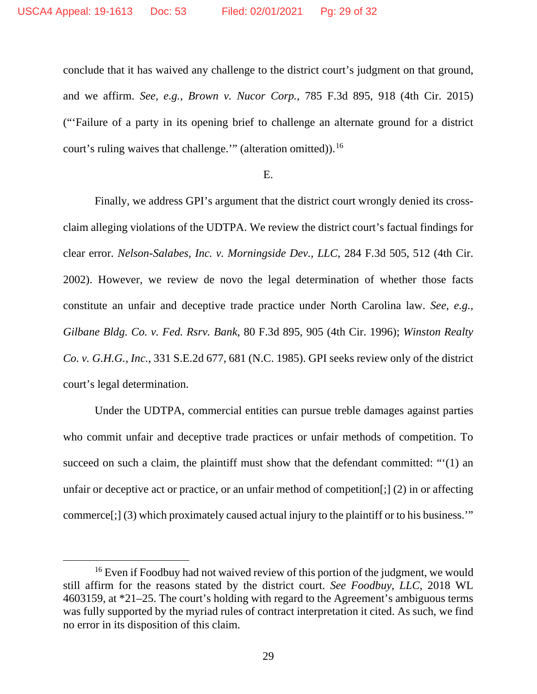conclude that it has waived any challenge to the district court's judgment on that ground, and we affirm. *See, e.g.*, *Brown v. Nucor Corp.*, 785 F.3d 895, 918 (4th Cir. 2015) ("'Failure of a party in its opening brief to challenge an alternate ground for a district court's ruling waives that challenge."" (alteration omitted)).<sup>[16](#page-28-0)</sup>

### E.

Finally, we address GPI's argument that the district court wrongly denied its crossclaim alleging violations of the UDTPA. We review the district court's factual findings for clear error. *Nelson-Salabes, Inc. v. Morningside Dev., LLC*, 284 F.3d 505, 512 (4th Cir. 2002). However, we review de novo the legal determination of whether those facts constitute an unfair and deceptive trade practice under North Carolina law. *See, e.g., Gilbane Bldg. Co. v. Fed. Rsrv. Bank*, 80 F.3d 895, 905 (4th Cir. 1996); *Winston Realty Co. v. G.H.G., Inc.*, 331 S.E.2d 677, 681 (N.C. 1985). GPI seeks review only of the district court's legal determination.

Under the UDTPA, commercial entities can pursue treble damages against parties who commit unfair and deceptive trade practices or unfair methods of competition. To succeed on such a claim, the plaintiff must show that the defendant committed: "'(1) an unfair or deceptive act or practice, or an unfair method of competition[;] (2) in or affecting commerce[;] (3) which proximately caused actual injury to the plaintiff or to his business.'"

<span id="page-28-0"></span><sup>&</sup>lt;sup>16</sup> Even if Foodbuy had not waived review of this portion of the judgment, we would still affirm for the reasons stated by the district court. *See Foodbuy, LLC*, 2018 WL 4603159, at \*21–25. The court's holding with regard to the Agreement's ambiguous terms was fully supported by the myriad rules of contract interpretation it cited. As such, we find no error in its disposition of this claim.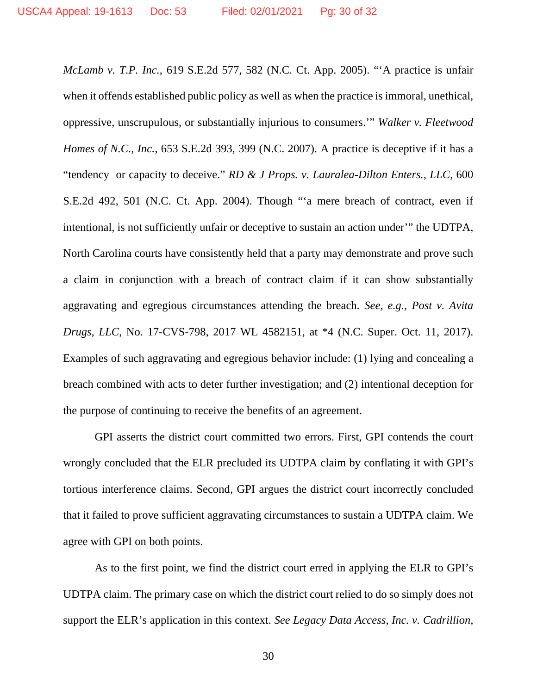*McLamb v. T.P. Inc.*, 619 S.E.2d 577, 582 (N.C. Ct. App. 2005). "'A practice is unfair when it offends established public policy as well as when the practice is immoral, unethical, oppressive, unscrupulous, or substantially injurious to consumers.'" *Walker v. Fleetwood Homes of N.C., Inc.*, 653 S.E.2d 393, 399 (N.C. 2007). A practice is deceptive if it has a "tendency or capacity to deceive." *RD & J Props. v. Lauralea-Dilton Enters., LLC*, 600 S.E.2d 492, 501 (N.C. Ct. App. 2004). Though "'a mere breach of contract, even if intentional, is not sufficiently unfair or deceptive to sustain an action under'" the UDTPA, North Carolina courts have consistently held that a party may demonstrate and prove such a claim in conjunction with a breach of contract claim if it can show substantially aggravating and egregious circumstances attending the breach. *See, e.g.*, *Post v. Avita Drugs, LLC*, No. 17-CVS-798, 2017 WL 4582151, at \*4 (N.C. Super. Oct. 11, 2017). Examples of such aggravating and egregious behavior include: (1) lying and concealing a breach combined with acts to deter further investigation; and (2) intentional deception for the purpose of continuing to receive the benefits of an agreement.

GPI asserts the district court committed two errors. First, GPI contends the court wrongly concluded that the ELR precluded its UDTPA claim by conflating it with GPI's tortious interference claims. Second, GPI argues the district court incorrectly concluded that it failed to prove sufficient aggravating circumstances to sustain a UDTPA claim. We agree with GPI on both points.

As to the first point, we find the district court erred in applying the ELR to GPI's UDTPA claim. The primary case on which the district court relied to do so simply does not support the ELR's application in this context. *See Legacy Data Access, Inc. v. Cadrillion,*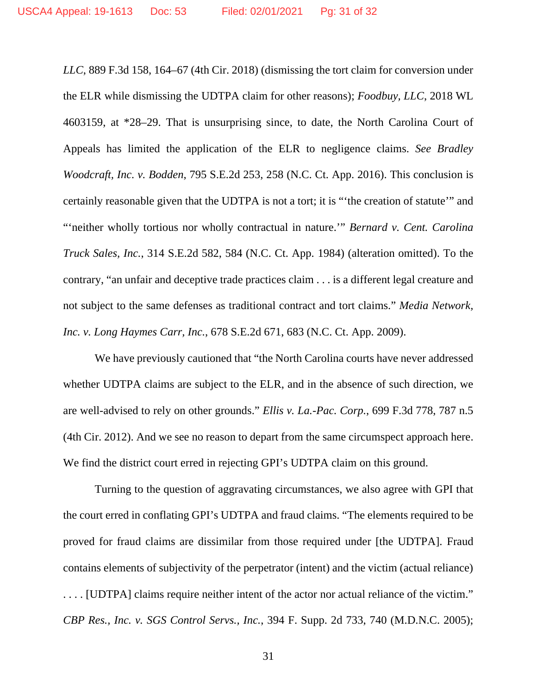*LLC*, 889 F.3d 158, 164–67 (4th Cir. 2018) (dismissing the tort claim for conversion under the ELR while dismissing the UDTPA claim for other reasons); *Foodbuy, LLC*, 2018 WL 4603159, at \*28–29. That is unsurprising since, to date, the North Carolina Court of Appeals has limited the application of the ELR to negligence claims. *See Bradley Woodcraft, Inc. v. Bodden*, 795 S.E.2d 253, 258 (N.C. Ct. App. 2016). This conclusion is certainly reasonable given that the UDTPA is not a tort; it is "'the creation of statute'" and "'neither wholly tortious nor wholly contractual in nature.'" *Bernard v. Cent. Carolina Truck Sales, Inc.*, 314 S.E.2d 582, 584 (N.C. Ct. App. 1984) (alteration omitted). To the contrary, "an unfair and deceptive trade practices claim . . . is a different legal creature and not subject to the same defenses as traditional contract and tort claims." *Media Network, Inc. v. Long Haymes Carr, Inc.*, 678 S.E.2d 671, 683 (N.C. Ct. App. 2009).

We have previously cautioned that "the North Carolina courts have never addressed whether UDTPA claims are subject to the ELR, and in the absence of such direction, we are well-advised to rely on other grounds." *Ellis v. La.-Pac. Corp.*, 699 F.3d 778, 787 n.5 (4th Cir. 2012). And we see no reason to depart from the same circumspect approach here. We find the district court erred in rejecting GPI's UDTPA claim on this ground.

Turning to the question of aggravating circumstances, we also agree with GPI that the court erred in conflating GPI's UDTPA and fraud claims. "The elements required to be proved for fraud claims are dissimilar from those required under [the UDTPA]. Fraud contains elements of subjectivity of the perpetrator (intent) and the victim (actual reliance) . . . . [UDTPA] claims require neither intent of the actor nor actual reliance of the victim." *CBP Res., Inc. v. SGS Control Servs., Inc.*, 394 F. Supp. 2d 733, 740 (M.D.N.C. 2005);

31